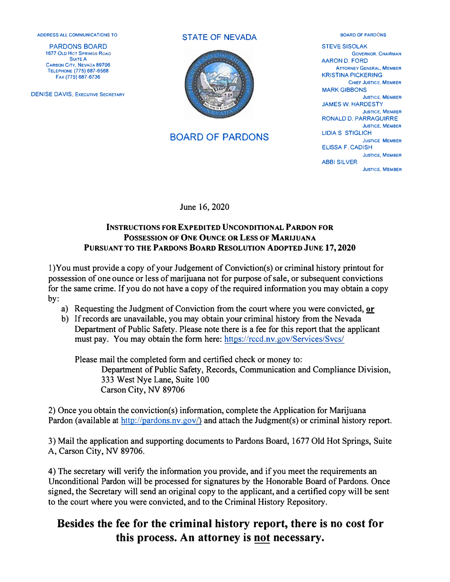**ADDRESS All COMMUNICATIONS TO** 

PARDONS BOARD **1677 OLD HOT SPRINGS ROAD Suite A CARSON CITY, NEVAOA 89706 TELEPHONE (775) 687-6568 FAX (775) 687-6736** 

**DENISE DAVIS, EXECUTIVE SECRETARY** 

#### STATE OF NEVADA



### BOARD OF PARDONS

**BOARD OF PARDONS**  STEVE SISOLAK **GOVERNOR, CHAIRMAN**  AARON D. FORD **ATTORNEY GENERAL, MEMBER**  KRISTINA PICKERING **CHIEF JUSTICE, MEMBER**  MARK GIBBONS **JUSTICE, MEMBER**  JAMES W. HARDESTY **JUSTICE, MEMBER**  RONALD D. PARRAGUIRRE **JUSTICE, MEMBER**  LIDIA S STIGLICH **JUSTICE MEMBER**  ELISSA F, CADISH **JUSTICE, MEMBER**  ABBI SILVER **JUSTICE, MEMBER** 

June 16, 2020

### **INSTRUCTIONS FOR EXPEDITED UNCONDITIONAL PARDON FOR POSSESSION OF ONE OUNCE OR LESS OF MARIJUANA PURSUANT TO THE PARDONS BOARD RESOLUTION ADOPTED JUNE 17, 2020**

l)You must provide a copy of your Judgement of Conviction(s) or criminal history printout for possession of one ounce or less of marijuana not for purpose of sale, or subsequent convictions for the same crime. If you do not have a copy of the required information you may obtain a copy by:

- a) Requesting the Judgment of Conviction from the court where you were convicted,  $or$
- b) If records are unavailable, you may obtain your criminal history from the Nevada Department of Public Safety. Please note there is a fee for this report that the applicant must pay. You may obtain the form here: https://rccd.nv.gov/Services/Svcs/

Please mail the completed form and certified check or money to: Department of Public Safety, Records, Communication and Compliance Division, 333 West Nye Lane, Suite 100 Carson City, NV 89706

2) Once you obtain the conviction(s) information, complete the Application for Marijuana Pardon (available at  $\frac{http://pardons.nv.gov/}{amp;pardons.nv.gov/}$  and attach the Judgment(s) or criminal history report.

3) Mail the application and supporting documents to Pardons Board, 1677 Old Hot Springs, Suite A, Carson City, NV 89706.

4) The secretary will verify the information you provide, and if you meet the requirements an Unconditional Pardon will be processed for signatures by the Honorable Board of Pardons. Once signed, the Secretary will send an original copy to the applicant, and a certified copy will be sent to the court where you were convicted, and to the Criminal History Repository.

# **Besides the fee for the criminal history report, there is no cost for this process. An attorney is not necessary.**